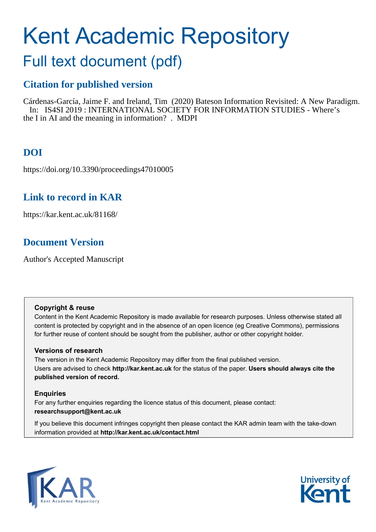# Kent Academic Repository

# Full text document (pdf)

## **Citation for published version**

Cárdenas-García, Jaime F. and Ireland, Tim (2020) Bateson Information Revisited: A New Paradigm. In: IS4SI 2019 : INTERNATIONAL SOCIETY FOR INFORMATION STUDIES - Where's the I in AI and the meaning in information? . MDPI

## **DOI**

https://doi.org/10.3390/proceedings47010005

### **Link to record in KAR**

https://kar.kent.ac.uk/81168/

## **Document Version**

Author's Accepted Manuscript

#### **Copyright & reuse**

Content in the Kent Academic Repository is made available for research purposes. Unless otherwise stated all content is protected by copyright and in the absence of an open licence (eg Creative Commons), permissions for further reuse of content should be sought from the publisher, author or other copyright holder.

#### **Versions of research**

The version in the Kent Academic Repository may differ from the final published version. Users are advised to check **http://kar.kent.ac.uk** for the status of the paper. **Users should always cite the published version of record.**

#### **Enquiries**

For any further enquiries regarding the licence status of this document, please contact: **researchsupport@kent.ac.uk**

If you believe this document infringes copyright then please contact the KAR admin team with the take-down information provided at **http://kar.kent.ac.uk/contact.html**



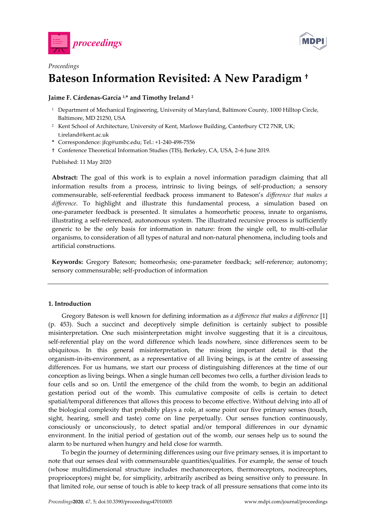

*Proceedings* 



## **Bateson Information Revisited: A New Paradigm †**

#### **Jaime F. Cárdenas-García 1,\* and Timothy Ireland 2**

- <sup>1</sup> Department of Mechanical Engineering, University of Maryland, Baltimore County, 1000 Hilltop Circle, Baltimore, MD 21250, USA
- <sup>2</sup> Kent School of Architecture, University of Kent, Marlowe Building, Canterbury CT2 7NR, UK; t.ireland@kent.ac.uk
- **\*** Correspondence: jfcg@umbc.edu; Tel.: +1-240-498-7556
- † Conference Theoretical Information Studies (TIS), Berkeley, CA, USA, 2–6 June 2019.

Published: 11 May 2020

**Abstract:** The goal of this work is to explain a novel information paradigm claiming that all information results from a process, intrinsic to living beings, of self-production; a sensory commensurable, self-referential feedback process immanent to Bateson's *difference that makes a difference*. To highlight and illustrate this fundamental process, a simulation based on one-parameter feedback is presented. It simulates a homeorhetic process, innate to organisms, illustrating a self-referenced, autonomous system. The illustrated recursive process is sufficiently generic to be the only basis for information in nature: from the single cell, to multi-cellular organisms, to consideration of all types of natural and non-natural phenomena, including tools and artificial constructions.

**Keywords:** Gregory Bateson; homeorhesis; one-parameter feedback; self-reference; autonomy; sensory commensurable; self-production of information

#### **1. Introduction**

Gregory Bateson is well known for defining information as *a difference that makes a difference* [1] (p. 453). Such a succinct and deceptively simple definition is certainly subject to possible misinterpretation. One such misinterpretation might involve suggesting that it is a circuitous, self-referential play on the word difference which leads nowhere, since differences seem to be ubiquitous. In this general misinterpretation, the missing important detail is that the organism-in-its-environment, as a representative of all living beings, is at the centre of assessing differences. For us humans, we start our process of distinguishing differences at the time of our conception as living beings. When a single human cell becomes two cells, a further division leads to four cells and so on. Until the emergence of the child from the womb, to begin an additional gestation period out of the womb. This cumulative composite of cells is certain to detect spatial/temporal differences that allows this process to become effective. Without delving into all of the biological complexity that probably plays a role, at some point our five primary senses (touch, sight, hearing, smell and taste) come on line perpetually. Our senses function continuously, consciously or unconsciously, to detect spatial and/or temporal differences in our dynamic environment. In the initial period of gestation out of the womb, our senses help us to sound the alarm to be nurtured when hungry and held close for warmth.

To begin the journey of determining differences using our five primary senses, it is important to note that our senses deal with commensurable quantities/qualities. For example, the sense of touch (whose multidimensional structure includes mechanoreceptors, thermoreceptors, nocireceptors, proprioceptors) might be, for simplicity, arbitrarily ascribed as being sensitive only to pressure. In that limited role, our sense of touch is able to keep track of all pressure sensations that come into its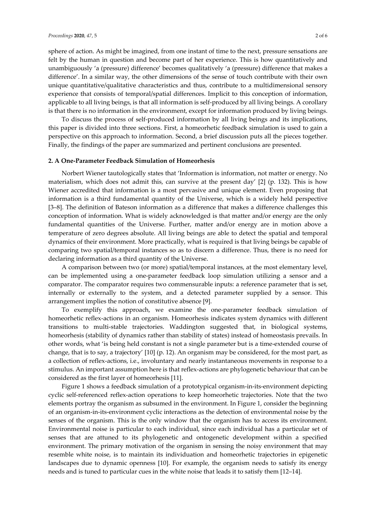sphere of action. As might be imagined, from one instant of time to the next, pressure sensations are felt by the human in question and become part of her experience. This is how quantitatively and unambiguously 'a (pressure) difference' becomes qualitatively 'a (pressure) difference that makes a difference'. In a similar way, the other dimensions of the sense of touch contribute with their own unique quantitative/qualitative characteristics and thus, contribute to a multidimensional sensory experience that consists of temporal/spatial differences. Implicit to this conception of information, applicable to all living beings, is that all information is self-produced by all living beings. A corollary is that there is no information in the environment, except for information produced by living beings.

To discuss the process of self-produced information by all living beings and its implications, this paper is divided into three sections. First, a homeorhetic feedback simulation is used to gain a perspective on this approach to information. Second, a brief discussion puts all the pieces together. Finally, the findings of the paper are summarized and pertinent conclusions are presented.

#### **2. A One-Parameter Feedback Simulation of Homeorhesis**

Norbert Wiener tautologically states that 'Information is information, not matter or energy. No materialism, which does not admit this, can survive at the present day' [2] (p. 132). This is how Wiener accredited that information is a most pervasive and unique element. Even proposing that information is a third fundamental quantity of the Universe, which is a widely held perspective [3–8]. The definition of Bateson information as a difference that makes a difference challenges this conception of information. What is widely acknowledged is that matter and/or energy are the only fundamental quantities of the Universe. Further, matter and/or energy are in motion above a temperature of zero degrees absolute. All living beings are able to detect the spatial and temporal dynamics of their environment. More practically, what is required is that living beings be capable of comparing two spatial/temporal instances so as to discern a difference. Thus, there is no need for declaring information as a third quantity of the Universe.

A comparison between two (or more) spatial/temporal instances, at the most elementary level, can be implemented using a one-parameter feedback loop simulation utilizing a sensor and a comparator. The comparator requires two commensurable inputs: a reference parameter that is set, internally or externally to the system, and a detected parameter supplied by a sensor. This arrangement implies the notion of constitutive absence [9].

To exemplify this approach, we examine the one-parameter feedback simulation of homeorhetic reflex-actions in an organism. Homeorhesis indicates system dynamics with different transitions to multi-stable trajectories. Waddington suggested that, in biological systems, homeorhesis (stability of dynamics rather than stability of states) instead of homeostasis prevails. In other words, what 'is being held constant is not a single parameter but is a time-extended course of change, that is to say, a trajectory' [10] (p. 12). An organism may be considered, for the most part, as a collection of reflex-actions, i.e., involuntary and nearly instantaneous movements in response to a stimulus. An important assumption here is that reflex-actions are phylogenetic behaviour that can be considered as the first layer of homeorhesis [11].

Figure 1 shows a feedback simulation of a prototypical organism-in-its-environment depicting cyclic self-referenced reflex-action operations to keep homeorhetic trajectories. Note that the two elements portray the organism as subsumed in the environment. In Figure 1, consider the beginning of an organism-in-its-environment cyclic interactions as the detection of environmental noise by the senses of the organism. This is the only window that the organism has to access its environment. Environmental noise is particular to each individual, since each individual has a particular set of senses that are attuned to its phylogenetic and ontogenetic development within a specified environment. The primary motivation of the organism in sensing the noisy environment that may resemble white noise, is to maintain its individuation and homeorhetic trajectories in epigenetic landscapes due to dynamic openness [10]. For example, the organism needs to satisfy its energy needs and is tuned to particular cues in the white noise that leads it to satisfy them [12–14].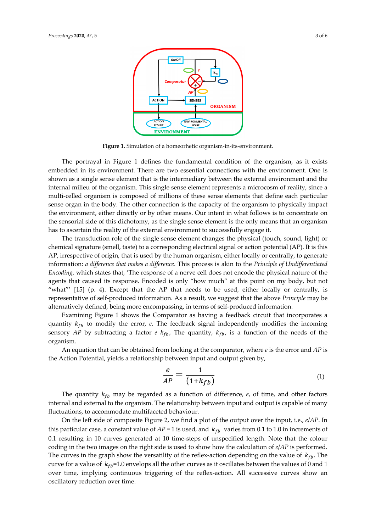

**Figure 1.** Simulation of a homeorhetic organism-in-its-environment.

The portrayal in Figure 1 defines the fundamental condition of the organism, as it exists embedded in its environment. There are two essential connections with the environment. One is shown as a single sense element that is the intermediary between the external environment and the internal milieu of the organism. This single sense element represents a microcosm of reality, since a multi-celled organism is composed of millions of these sense elements that define each particular sense organ in the body. The other connection is the capacity of the organism to physically impact the environment, either directly or by other means. Our intent in what follows is to concentrate on the sensorial side of this dichotomy, as the single sense element is the only means that an organism has to ascertain the reality of the external environment to successfully engage it.

The transduction role of the single sense element changes the physical (touch, sound, light) or chemical signature (smell, taste) to a corresponding electrical signal or action potential (AP). It is this AP, irrespective of origin, that is used by the human organism, either locally or centrally, to generate information: *a difference that makes a difference*. This process is akin to the *Principle of Undifferentiated Encoding*, which states that, 'The response of a nerve cell does not encode the physical nature of the agents that caused its response. Encoded is only "how much" at this point on my body, but not "what"' [15] (p. 4). Except that the AP that needs to be used, either locally or centrally, is representative of self-produced information. As a result, we suggest that the above *Principle* may be alternatively defined, being more encompassing, in terms of self-produced information.

Examining Figure 1 shows the Comparator as having a feedback circuit that incorporates a quantity  $k_{fb}$  to modify the error,  $e$ . The feedback signal independently modifies the incoming sensory *AP* by subtracting a factor *e*  $k_{fb}$ , The quantity,  $k_{fb}$ , is a function of the needs of the organism.

An equation that can be obtained from looking at the comparator, where *e* is the error and *AP* is the Action Potential, yields a relationship between input and output given by,

$$
\frac{e}{AP} = \frac{1}{(1 + k_{fb})} \tag{1}
$$

The quantity  $k_{fb}$  may be regarded as a function of difference,  $e$ , of time, and other factors internal and external to the organism. The relationship between input and output is capable of many fluctuations, to accommodate multifaceted behaviour.

On the left side of composite Figure 2, we find a plot of the output over the input, i.e., *e*/*AP*. In this particular case, a constant value of  $AP = 1$  is used, and  $k_{fb}$  varies from 0.1 to 1.0 in increments of 0.1 resulting in 10 curves generated at 10 time-steps of unspecified length. Note that the colour coding in the two images on the right side is used to show how the calculation of *e*/*AP* is performed. The curves in the graph show the versatility of the reflex-action depending on the value of  $k_{fb}$ . The curve for a value of  $k_{fb}$ =1.0 envelops all the other curves as it oscillates between the values of 0 and 1 over time, implying continuous triggering of the reflex-action. All successive curves show an oscillatory reduction over time.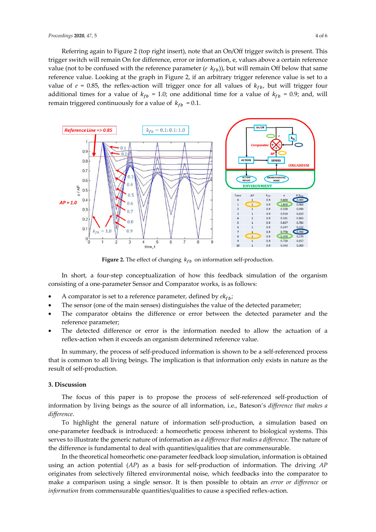Referring again to Figure 2 (top right insert), note that an On/Off trigger switch is present. This trigger switch will remain On for difference, error or information, e, values above a certain reference value (not to be confused with the reference parameter  $(e \, k_{fb})$ ), but will remain Off below that same reference value. Looking at the graph in Figure 2, if an arbitrary trigger reference value is set to a value of  $e = 0.85$ , the reflex-action will trigger once for all values of  $k_{fb}$ , but will trigger four additional times for a value of  $k_{fb} = 1.0$ ; one additional time for a value of  $k_{fb} = 0.9$ ; and, will remain triggered continuously for a value of  $k_{fb} = 0.1$ .



**Figure 2.** The effect of changing  $k_{fb}$  on information self-production.

In short, a four-step conceptualization of how this feedback simulation of the organism consisting of a one-parameter Sensor and Comparator works, is as follows:

- A comparator is set to a reference parameter, defined by  $ek_{fb}$ ;
- The sensor (one of the main senses) distinguishes the value of the detected parameter;
- The comparator obtains the difference or error between the detected parameter and the reference parameter;
- The detected difference or error is the information needed to allow the actuation of a reflex-action when it exceeds an organism determined reference value.

In summary, the process of self-produced information is shown to be a self-referenced process that is common to all living beings. The implication is that information only exists in nature as the result of self-production.

#### **3. Discussion**

The focus of this paper is to propose the process of self-referenced self-production of information by living beings as the source of all information, i.e., Bateson's *difference that makes a difference*.

To highlight the general nature of information self-production, a simulation based on one-parameter feedback is introduced: a homeorhetic process inherent to biological systems. This serves to illustrate the generic nature of information as *a difference that makes a difference*. The nature of the difference is fundamental to deal with quantities/qualities that are commensurable.

In the theoretical homeorhetic one-parameter feedback loop simulation, information is obtained using an action potential (*AP*) as a basis for self-production of information. The driving *AP* originates from selectively filtered environmental noise, which feedbacks into the comparator to make a comparison using a single sensor. It is then possible to obtain an *error or difference* or *information* from commensurable quantities/qualities to cause a specified reflex-action.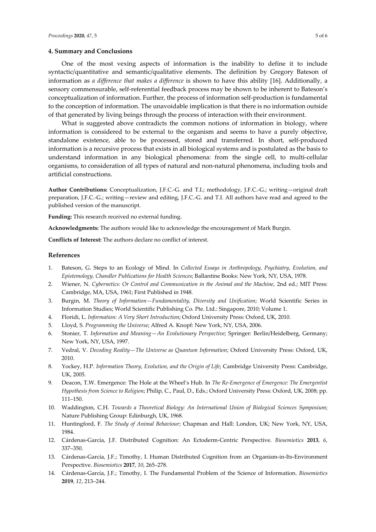#### **4. Summary and Conclusions**

One of the most vexing aspects of information is the inability to define it to include syntactic/quantitative and semantic/qualitative elements. The definition by Gregory Bateson of information as *a difference that makes a difference* is shown to have this ability [16]. Additionally, a sensory commensurable, self-referential feedback process may be shown to be inherent to Bateson's conceptualization of information. Further, the process of information self-production is fundamental to the conception of information. The unavoidable implication is that there is no information outside of that generated by living beings through the process of interaction with their environment.

What is suggested above contradicts the common notions of information in biology, where information is considered to be external to the organism and seems to have a purely objective, standalone existence, able to be processed, stored and transferred. In short, self-produced information is a recursive process that exists in all biological systems and is postulated as the basis to understand information in any biological phenomena: from the single cell, to multi-cellular organisms, to consideration of all types of natural and non-natural phenomena, including tools and artificial constructions.

**Author Contributions:** Conceptualization, J.F.C.-G. and T.I.; methodology, J.F.C.-G.; writing—original draft preparation, J.F.C.-G.; writing—review and editing, J.F.C.-G. and T.I. All authors have read and agreed to the published version of the manuscript.

**Funding:** This research received no external funding.

**Acknowledgments:** The authors would like to acknowledge the encouragement of Mark Burgin.

**Conflicts of Interest:** The authors declare no conflict of interest.

#### **References**

- 1. Bateson, G. Steps to an Ecology of Mind. In *Collected Essays in Anthropology, Psychiatry, Evolution, and Epistemology, Chandler Publications for Health Sciences*; Ballantine Books: New York, NY, USA, 1978.
- 2. Wiener, N. *Cybernetics: Or Control and Communication in the Animal and the Machine*, 2nd ed.; MIT Press: Cambridge, MA, USA, 1961; First Published in 1948.
- 3. Burgin, M. *Theory of Information—Fundamentality, Diversity and Unification*; World Scientific Series in Information Studies; World Scientific Publishing Co. Pte. Ltd.: Singapore, 2010; Volume 1.
- 4. Floridi, L. *Information: A Very Short Introduction*; Oxford University Press: Oxford, UK, 2010.
- 5. Lloyd, S. *Programming the Universe*; Alfred A. Knopf: New York, NY, USA, 2006.
- 6. Stonier, T. *Information and Meaning—An Evolutionary Perspective*; Springer: Berlin/Heidelberg, Germany; New York, NY, USA, 1997.
- 7. Vedral, V. *Decoding Reality—The Universe as Quantum Information*; Oxford University Press: Oxford, UK, 2010.
- 8. Yockey, H.P. *Information Theory, Evolution, and the Origin of Life*; Cambridge University Press: Cambridge, UK, 2005.
- 9. Deacon, T.W. Emergence: The Hole at the Wheel's Hub. In *The Re-Emergence of Emergence: The Emergentist Hypothesis from Science to Religion*; Philip, C., Paul, D., Eds.; Oxford University Press: Oxford, UK, 2008; pp. 111–150.
- 10. Waddington, C.H. *Towards a Theoretical Biology: An International Union of Biological Sciences Symposium*; Nature Publishing Group: Edinburgh, UK, 1968.
- 11. Huntingford, F. *The Study of Animal Behaviour*; Chapman and Hall: London, UK; New York, NY, USA, 1984.
- 12. Cárdenas-García, J.F. Distributed Cognition: An Ectoderm-Centric Perspective. *Biosemiotics* **2013**, *6*, 337–350.
- 13. Cárdenas-García, J.F.; Timothy, I. Human Distributed Cognition from an Organism-in-Its-Environment Perspective. *Biosemiotics* **2017**, *10*, 265–278.
- 14. Cárdenas-García, J.F.; Timothy, I. The Fundamental Problem of the Science of Information. *Biosemiotics* **2019**, *12*, 213–244.